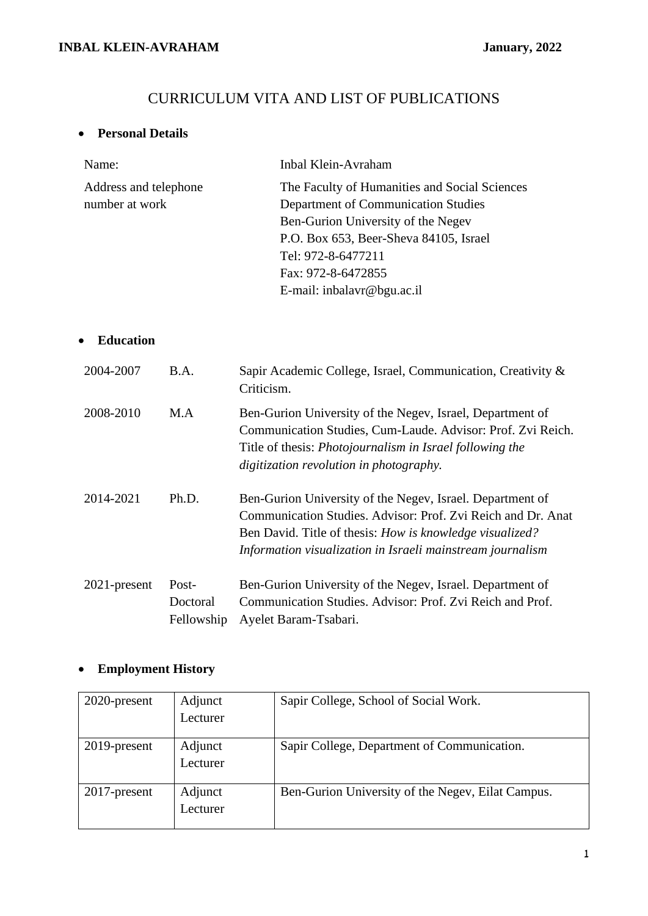# CURRICULUM VITA AND LIST OF PUBLICATIONS

# • **Personal Details**

| Name:                 | Inbal Klein-Avraham                           |
|-----------------------|-----------------------------------------------|
| Address and telephone | The Faculty of Humanities and Social Sciences |
| number at work        | Department of Communication Studies           |
|                       | Ben-Gurion University of the Negev            |
|                       | P.O. Box 653, Beer-Sheva 84105, Israel        |
|                       | Tel: 972-8-6477211                            |
|                       | Fax: 972-8-6472855                            |
|                       | E-mail: inbalavr@bgu.ac.il                    |
|                       |                                               |

# • **Education**

| 2004-2007       | B.A.                            | Sapir Academic College, Israel, Communication, Creativity &<br>Criticism.                                                                                                                                                                           |
|-----------------|---------------------------------|-----------------------------------------------------------------------------------------------------------------------------------------------------------------------------------------------------------------------------------------------------|
| 2008-2010       | M.A                             | Ben-Gurion University of the Negev, Israel, Department of<br>Communication Studies, Cum-Laude. Advisor: Prof. Zvi Reich.<br>Title of thesis: <i>Photojournalism in Israel following the</i><br>digitization revolution in photography.              |
| 2014-2021       | Ph.D.                           | Ben-Gurion University of the Negev, Israel. Department of<br>Communication Studies. Advisor: Prof. Zvi Reich and Dr. Anat<br>Ben David. Title of thesis: How is knowledge visualized?<br>Information visualization in Israeli mainstream journalism |
| $2021$ -present | Post-<br>Doctoral<br>Fellowship | Ben-Gurion University of the Negev, Israel. Department of<br>Communication Studies. Advisor: Prof. Zvi Reich and Prof.<br>Ayelet Baram-Tsabari.                                                                                                     |

# • **Employment History**

| 2020-present    | Adjunct             | Sapir College, School of Social Work.             |
|-----------------|---------------------|---------------------------------------------------|
|                 | Lecturer            |                                                   |
| 2019-present    | Adjunct<br>Lecturer | Sapir College, Department of Communication.       |
| $2017$ -present | Adjunct<br>Lecturer | Ben-Gurion University of the Negev, Eilat Campus. |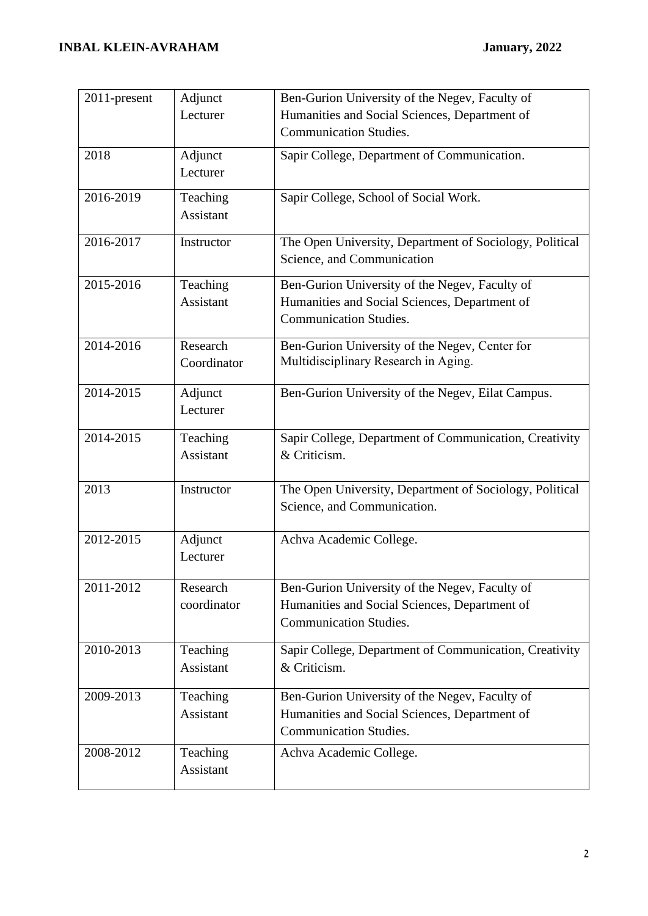| 2011-present | Adjunct                 | Ben-Gurion University of the Negev, Faculty of                                 |
|--------------|-------------------------|--------------------------------------------------------------------------------|
|              | Lecturer                | Humanities and Social Sciences, Department of                                  |
|              |                         | <b>Communication Studies.</b>                                                  |
| 2018         | Adjunct                 | Sapir College, Department of Communication.                                    |
|              | Lecturer                |                                                                                |
| 2016-2019    | Teaching                | Sapir College, School of Social Work.                                          |
|              | <b>Assistant</b>        |                                                                                |
| 2016-2017    | Instructor              | The Open University, Department of Sociology, Political                        |
|              |                         | Science, and Communication                                                     |
| 2015-2016    | Teaching                | Ben-Gurion University of the Negev, Faculty of                                 |
|              | <b>Assistant</b>        | Humanities and Social Sciences, Department of                                  |
|              |                         | <b>Communication Studies.</b>                                                  |
| 2014-2016    | Research                | Ben-Gurion University of the Negev, Center for                                 |
|              | Coordinator             | Multidisciplinary Research in Aging.                                           |
|              |                         |                                                                                |
| 2014-2015    | Adjunct<br>Lecturer     | Ben-Gurion University of the Negev, Eilat Campus.                              |
|              |                         |                                                                                |
| 2014-2015    | Teaching                | Sapir College, Department of Communication, Creativity                         |
|              | <b>Assistant</b>        | & Criticism.                                                                   |
|              |                         |                                                                                |
| 2013         | Instructor              | The Open University, Department of Sociology, Political                        |
|              |                         | Science, and Communication.                                                    |
| 2012-2015    | Adjunct                 | Achva Academic College.                                                        |
|              | Lecturer                |                                                                                |
|              |                         |                                                                                |
| 2011-2012    | Research<br>coordinator | Ben-Gurion University of the Negev, Faculty of                                 |
|              |                         | Humanities and Social Sciences, Department of<br><b>Communication Studies.</b> |
|              |                         |                                                                                |
| 2010-2013    | Teaching                | Sapir College, Department of Communication, Creativity                         |
|              | <b>Assistant</b>        | & Criticism.                                                                   |
| 2009-2013    | Teaching                | Ben-Gurion University of the Negev, Faculty of                                 |
|              | Assistant               | Humanities and Social Sciences, Department of                                  |
|              |                         | <b>Communication Studies.</b>                                                  |
| 2008-2012    | Teaching                | Achva Academic College.                                                        |
|              | Assistant               |                                                                                |
|              |                         |                                                                                |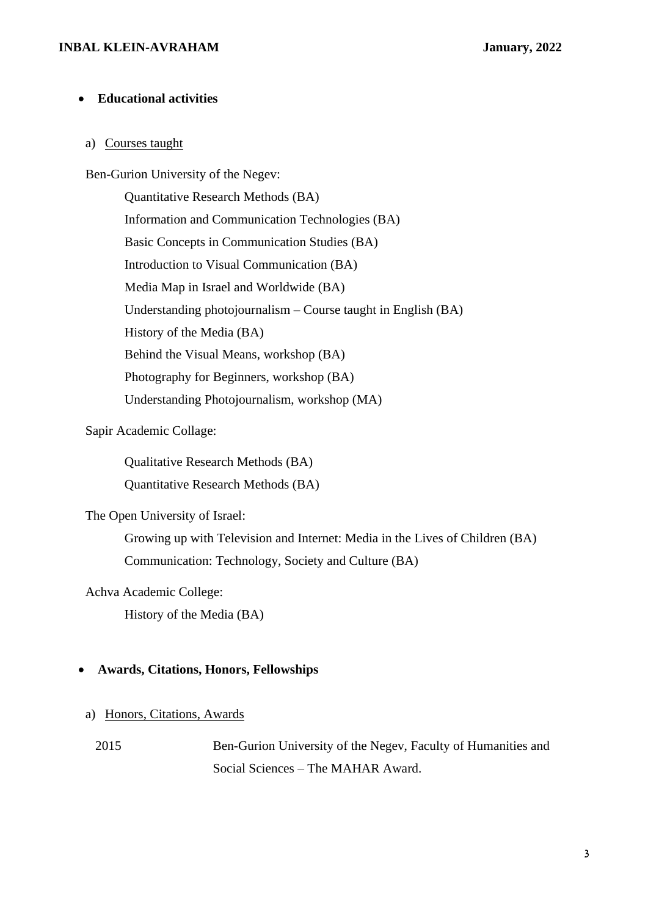## **INBAL KLEIN-AVRAHAM January, 2022**

#### • **Educational activities**

# a) Courses taught

Ben-Gurion University of the Negev:

Quantitative Research Methods (BA) Information and Communication Technologies (BA) Basic Concepts in Communication Studies (BA) Introduction to Visual Communication (BA) Media Map in Israel and Worldwide (BA) Understanding photojournalism – Course taught in English (BA) History of the Media (BA) Behind the Visual Means, workshop (BA) Photography for Beginners, workshop (BA) Understanding Photojournalism, workshop (MA)

# Sapir Academic Collage:

Qualitative Research Methods (BA)

Quantitative Research Methods (BA)

The Open University of Israel:

Growing up with Television and Internet: Media in the Lives of Children (BA) Communication: Technology, Society and Culture (BA)

Achva Academic College:

History of the Media (BA)

## • **Awards, Citations, Honors, Fellowships**

#### a) Honors, Citations, Awards

2015 Ben-Gurion University of the Negev, Faculty of Humanities and Social Sciences – The MAHAR Award.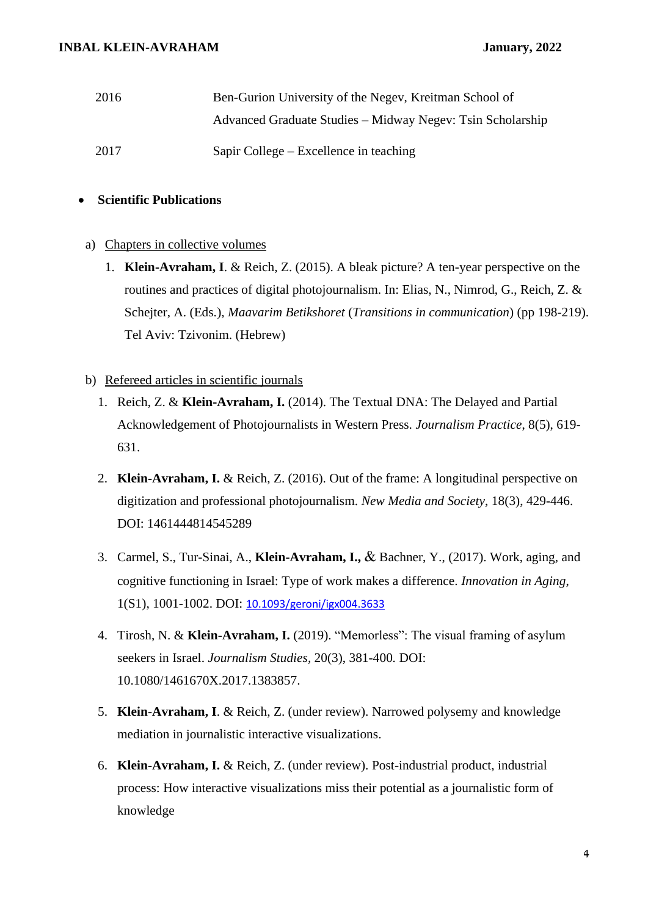| 2016 | Ben-Gurion University of the Negev, Kreitman School of     |  |
|------|------------------------------------------------------------|--|
|      | Advanced Graduate Studies – Midway Negev: Tsin Scholarship |  |
| 2017 | Sapir College – Excellence in teaching                     |  |

# • **Scientific Publications**

## a) Chapters in collective volumes

1. **Klein-Avraham, I**. & Reich, Z. (2015). A bleak picture? A ten-year perspective on the routines and practices of digital photojournalism. In: Elias, N., Nimrod, G., Reich, Z. & Schejter, A. (Eds.), *Maavarim Betikshoret* (*Transitions in communication*) (pp 198-219). Tel Aviv: Tzivonim. (Hebrew)

# b) Refereed articles in scientific journals

- 1. Reich, Z. & **Klein-Avraham, I.** (2014). The Textual DNA: The Delayed and Partial Acknowledgement of Photojournalists in Western Press. *Journalism Practice*, 8(5), 619- 631.
- 2. **Klein-Avraham, I.** & Reich, Z. (2016). Out of the frame: A longitudinal perspective on digitization and professional photojournalism. *New Media and Society*, 18(3), 429-446. DOI: 1461444814545289
- 3. Carmel, S., Tur-Sinai, A., **Klein-Avraham, I.,** & Bachner, Y., (2017). Work, aging, and cognitive functioning in Israel: Type of work makes a difference. *Innovation in Aging*, 1(S1), 1001-1002. DOI: [10.1093/geroni/igx004.3633](https://dx.doi.org/10.1093%2Fgeroni%2Figx004.3633)
- 4. Tirosh, N. & **Klein-Avraham, I.** (2019). "Memorless": The visual framing of asylum seekers in Israel. *Journalism Studies,* 20(3), 381-400*.* DOI: 10.1080/1461670X.2017.1383857.
- 5. **Klein**-**Avraham, I**. & Reich, Z. (under review). Narrowed polysemy and knowledge mediation in journalistic interactive visualizations.
- 6. **Klein-Avraham, I.** & Reich, Z. (under review). Post-industrial product, industrial process: How interactive visualizations miss their potential as a journalistic form of knowledge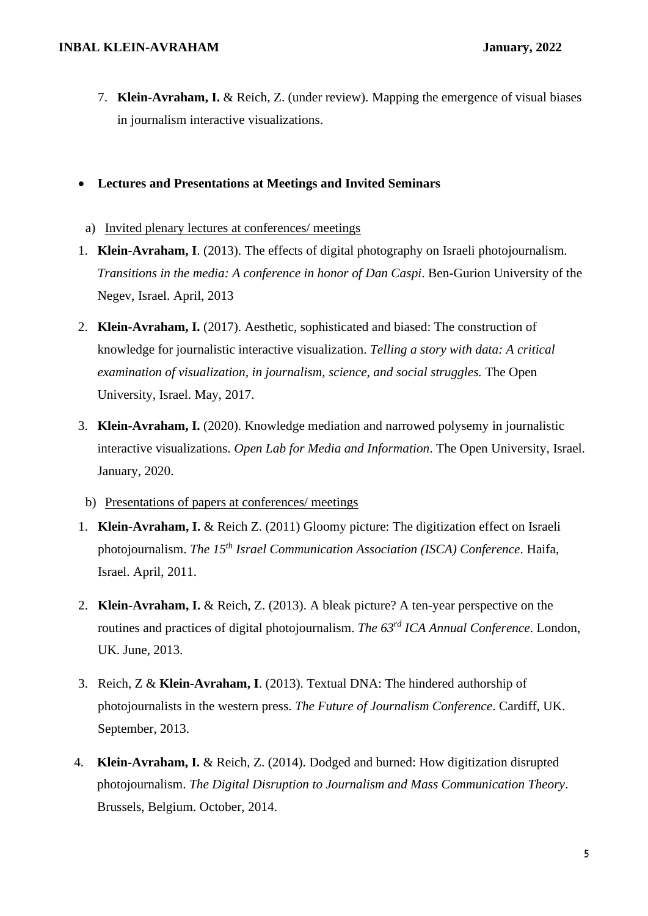7. **Klein-Avraham, I.** & Reich, Z. (under review). Mapping the emergence of visual biases in journalism interactive visualizations.

# • **Lectures and Presentations at Meetings and Invited Seminars**

- a) Invited plenary lectures at conferences/ meetings
- 1. **Klein-Avraham, I**. (2013). The effects of digital photography on Israeli photojournalism. *Transitions in the media: A conference in honor of Dan Caspi*. Ben-Gurion University of the Negev, Israel. April, 2013
- 2. **Klein-Avraham, I.** (2017). Aesthetic, sophisticated and biased: The construction of knowledge for journalistic interactive visualization. *Telling a story with data: A critical examination of visualization, in journalism, science, and social struggles.* The Open University, Israel. May, 2017.
- 3. **Klein-Avraham, I.** (2020). Knowledge mediation and narrowed polysemy in journalistic interactive visualizations. *Open Lab for Media and Information*. The Open University, Israel. January, 2020.
- b) Presentations of papers at conferences/ meetings
- 1. **Klein-Avraham, I.** & Reich Z. (2011) Gloomy picture: The digitization effect on Israeli photojournalism. *The 15th Israel Communication Association (ISCA) Conference*. Haifa, Israel. April, 2011.
- 2. **Klein-Avraham, I.** & Reich, Z. (2013). A bleak picture? A ten-year perspective on the routines and practices of digital photojournalism. *The 63rd ICA Annual Conference*. London, UK. June, 2013.
- 3. Reich, Z & **Klein-Avraham, I**. (2013). Textual DNA: The hindered authorship of photojournalists in the western press. *The Future of Journalism Conference*. Cardiff, UK. September, 2013.
- 4. **Klein-Avraham, I.** & Reich, Z. (2014). Dodged and burned: How digitization disrupted photojournalism. *The Digital Disruption to Journalism and Mass Communication Theory*. Brussels, Belgium. October, 2014.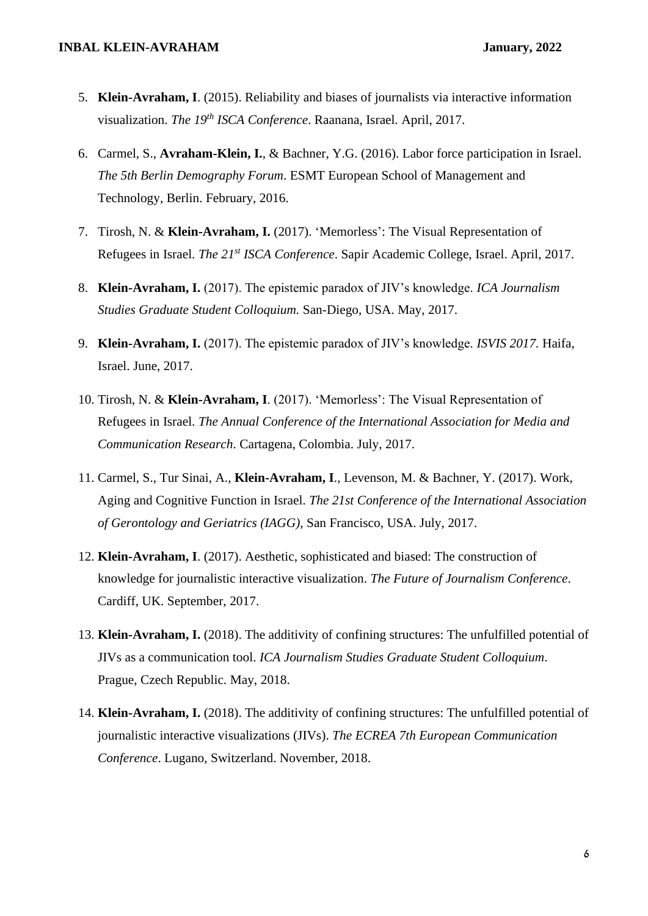- 5. **Klein-Avraham, I**. (2015). Reliability and biases of journalists via interactive information visualization. *The 19th ISCA Conference*. Raanana, Israel. April, 2017.
- 6. Carmel, S., **Avraham-Klein, I.**, & Bachner, Y.G. (2016). Labor force participation in Israel. *The 5th Berlin Demography Forum*. ESMT European School of Management and Technology, Berlin. February, 2016.
- 7. Tirosh, N. & **Klein-Avraham, I.** (2017). 'Memorless': The Visual Representation of Refugees in Israel. *The 21st ISCA Conference*. Sapir Academic College, Israel. April, 2017.
- 8. **Klein-Avraham, I.** (2017). The epistemic paradox of JIV's knowledge. *ICA Journalism Studies Graduate Student Colloquium.* San-Diego, USA. May, 2017.
- 9. **Klein-Avraham, I.** (2017). The epistemic paradox of JIV's knowledge. *ISVIS 2017.* Haifa, Israel. June, 2017.
- 10. Tirosh, N. & **Klein-Avraham, I**. (2017). 'Memorless': The Visual Representation of Refugees in Israel. *The Annual Conference of the International Association for Media and Communication Research*. Cartagena, Colombia. July, 2017.
- 11. Carmel, S., Tur Sinai, A., **Klein-Avraham, I**., Levenson, M. & Bachner, Y. (2017). Work, Aging and Cognitive Function in Israel. *The 21st Conference of the International Association of Gerontology and Geriatrics (IAGG)*, San Francisco, USA. July, 2017.
- 12. **Klein-Avraham, I**. (2017). Aesthetic, sophisticated and biased: The construction of knowledge for journalistic interactive visualization. *The Future of Journalism Conference*. Cardiff, UK. September, 2017.
- 13. **Klein-Avraham, I.** (2018). The additivity of confining structures: The unfulfilled potential of JIVs as a communication tool. *ICA Journalism Studies Graduate Student Colloquium*. Prague, Czech Republic. May, 2018.
- 14. **Klein-Avraham, I.** (2018). The additivity of confining structures: The unfulfilled potential of journalistic interactive visualizations (JIVs). *The ECREA 7th European Communication Conference*. Lugano, Switzerland. November, 2018.